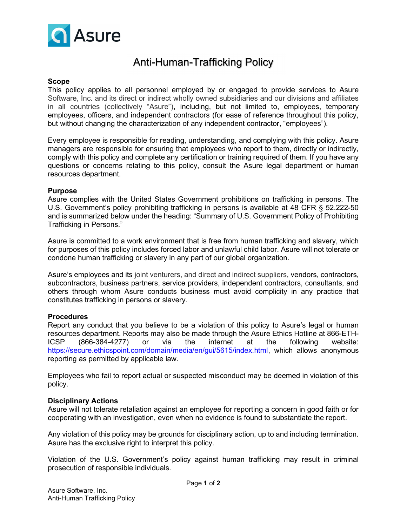

# Anti-Human-Trafficking Policy

### Scope

This policy applies to all personnel employed by or engaged to provide services to Asure Software, Inc. and its direct or indirect wholly owned subsidiaries and our divisions and affiliates in all countries (collectively "Asure"), including, but not limited to, employees, temporary employees, officers, and independent contractors (for ease of reference throughout this policy, but without changing the characterization of any independent contractor, "employees").

Every employee is responsible for reading, understanding, and complying with this policy. Asure managers are responsible for ensuring that employees who report to them, directly or indirectly, comply with this policy and complete any certification or training required of them. If you have any questions or concerns relating to this policy, consult the Asure legal department or human resources department.

### **Purpose**

Asure complies with the United States Government prohibitions on trafficking in persons. The U.S. Government's policy prohibiting trafficking in persons is available at 48 CFR § 52.222-50 and is summarized below under the heading: "Summary of U.S. Government Policy of Prohibiting Trafficking in Persons."

Asure is committed to a work environment that is free from human trafficking and slavery, which for purposes of this policy includes forced labor and unlawful child labor. Asure will not tolerate or condone human trafficking or slavery in any part of our global organization.

Asure's employees and its joint venturers, and direct and indirect suppliers, vendors, contractors, subcontractors, business partners, service providers, independent contractors, consultants, and others through whom Asure conducts business must avoid complicity in any practice that constitutes trafficking in persons or slavery.

### Procedures

Report any conduct that you believe to be a violation of this policy to Asure's legal or human resources department. Reports may also be made through the Asure Ethics Hotline at 866-ETH-ICSP (866-384-4277) or via the internet at the following website: https://secure.ethicspoint.com/domain/media/en/gui/5615/index.html, which allows anonymous reporting as permitted by applicable law.

Employees who fail to report actual or suspected misconduct may be deemed in violation of this policy.

### Disciplinary Actions

Asure will not tolerate retaliation against an employee for reporting a concern in good faith or for cooperating with an investigation, even when no evidence is found to substantiate the report.

Any violation of this policy may be grounds for disciplinary action, up to and including termination. Asure has the exclusive right to interpret this policy.

Violation of the U.S. Government's policy against human trafficking may result in criminal prosecution of responsible individuals.